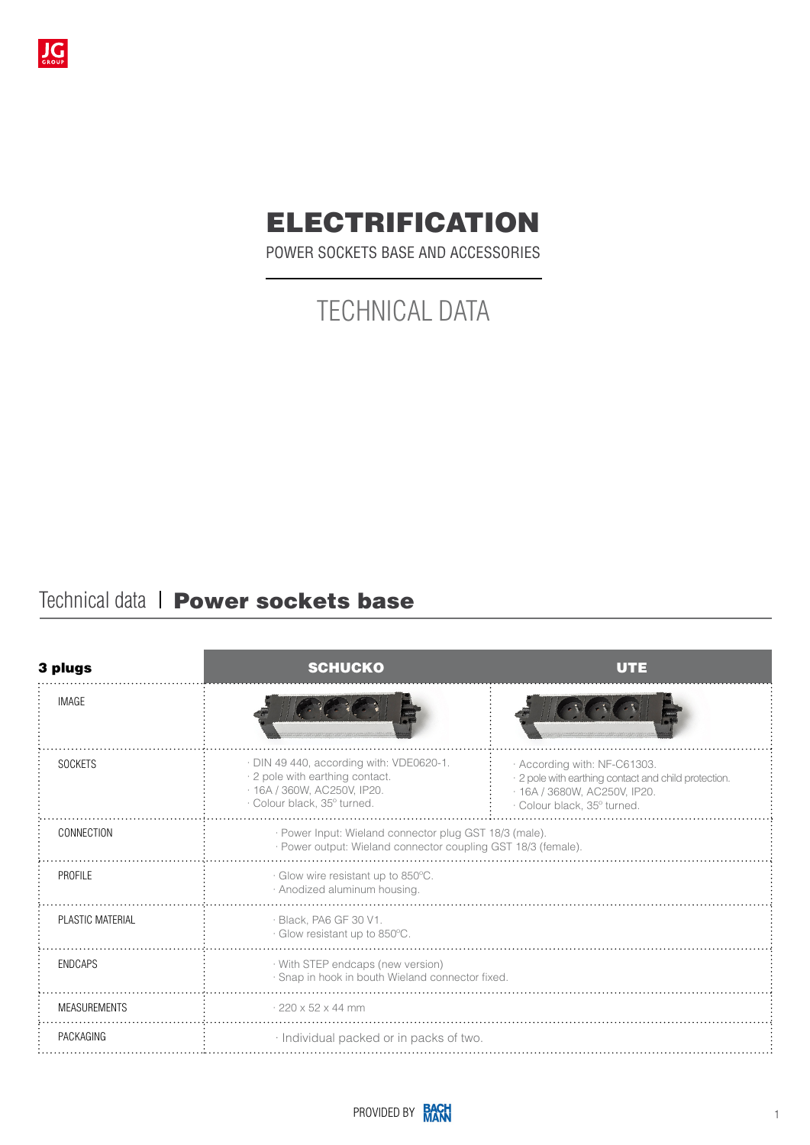

# ELECTRIFICATION

POWER SOCKETS BASE AND ACCESSORIES

# TECHNICAL DATA

# Technical data | Power sockets base

| 3 plugs             | <b>SCHUCKO</b>                                                                                                                            | UTE                                                                                                                                                 |
|---------------------|-------------------------------------------------------------------------------------------------------------------------------------------|-----------------------------------------------------------------------------------------------------------------------------------------------------|
| <b>IMAGE</b>        |                                                                                                                                           |                                                                                                                                                     |
| <b>SOCKETS</b>      | · DIN 49 440, according with: VDE0620-1.<br>· 2 pole with earthing contact.<br>· 16A / 360W, AC250V, IP20.<br>· Colour black, 35° turned. | · According with: NF-C61303.<br>· 2 pole with earthing contact and child protection.<br>· 16A / 3680W, AC250V, IP20.<br>· Colour black, 35° turned. |
| CONNECTION          | · Power Input: Wieland connector plug GST 18/3 (male).<br>· Power output: Wieland connector coupling GST 18/3 (female).                   |                                                                                                                                                     |
| PROFILE             | · Glow wire resistant up to 850°C.<br>· Anodized aluminum housing.                                                                        |                                                                                                                                                     |
| PLASTIC MATERIAL    | · Black, PA6 GF 30 V1.<br>· Glow resistant up to 850°C.                                                                                   |                                                                                                                                                     |
| <b>ENDCAPS</b>      | · With STEP endcaps (new version)<br>· Snap in hook in bouth Wieland connector fixed.                                                     |                                                                                                                                                     |
| <b>MEASUREMENTS</b> | $\cdot$ 220 x 52 x 44 mm                                                                                                                  |                                                                                                                                                     |
| PACKAGING           | · Individual packed or in packs of two.                                                                                                   |                                                                                                                                                     |

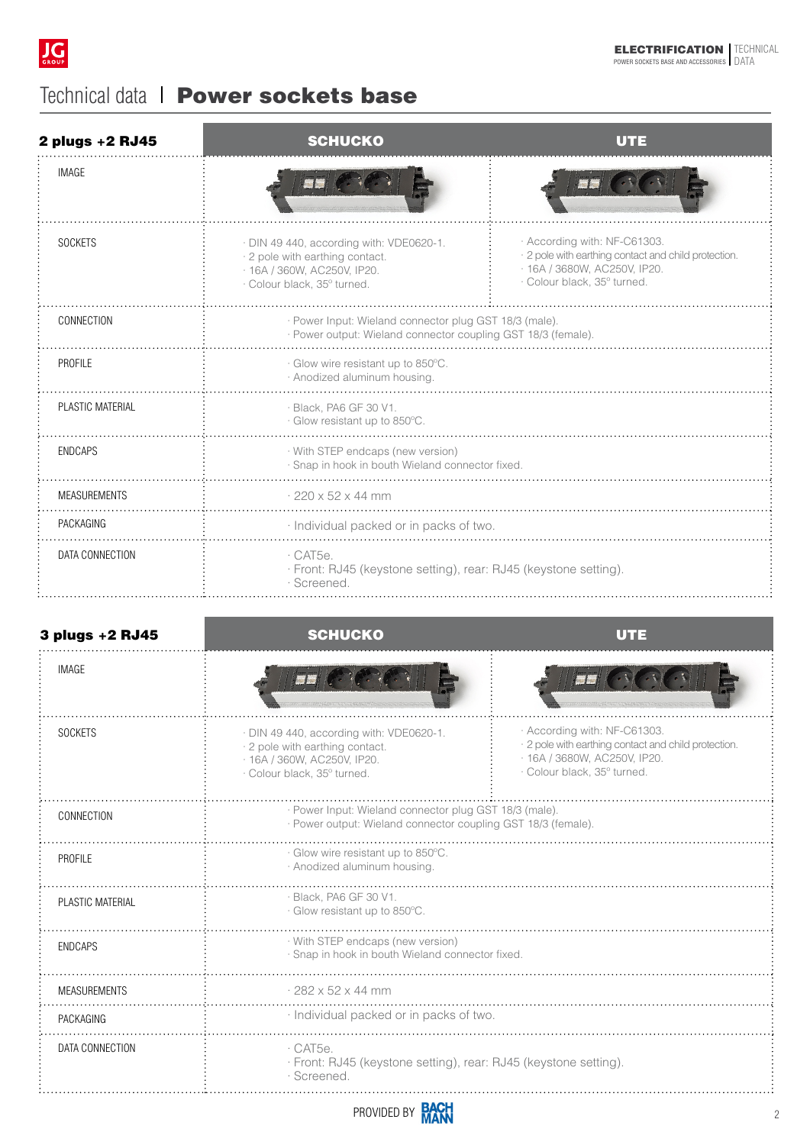

# Technical data | Power sockets base

| 2 plugs +2 RJ45     | <b>SCHUCKO</b>                                                                                                                            | UTE                                                                                                                                                 |  |
|---------------------|-------------------------------------------------------------------------------------------------------------------------------------------|-----------------------------------------------------------------------------------------------------------------------------------------------------|--|
| <b>IMAGE</b>        |                                                                                                                                           |                                                                                                                                                     |  |
| <b>SOCKETS</b>      | · DIN 49 440, according with: VDE0620-1.<br>· 2 pole with earthing contact.<br>· 16A / 360W, AC250V, IP20.<br>· Colour black, 35° turned. | · According with: NF-C61303.<br>· 2 pole with earthing contact and child protection.<br>· 16A / 3680W, AC250V, IP20.<br>· Colour black, 35° turned. |  |
| CONNECTION          | · Power Input: Wieland connector plug GST 18/3 (male).<br>· Power output: Wieland connector coupling GST 18/3 (female).                   |                                                                                                                                                     |  |
| PROFILE             | · Glow wire resistant up to 850°C.<br>· Anodized aluminum housing.                                                                        |                                                                                                                                                     |  |
| PLASTIC MATERIAL    | · Black, PA6 GF 30 V1.<br>· Glow resistant up to 850°C.                                                                                   |                                                                                                                                                     |  |
| <b>ENDCAPS</b>      | · With STEP endcaps (new version)<br>· Snap in hook in bouth Wieland connector fixed.                                                     |                                                                                                                                                     |  |
| <b>MEASUREMENTS</b> | $.220 \times 52 \times 44$ mm                                                                                                             |                                                                                                                                                     |  |
| PACKAGING           | · Individual packed or in packs of two.                                                                                                   |                                                                                                                                                     |  |
| DATA CONNECTION     | $\cdot$ CAT5e.<br>· Front: RJ45 (keystone setting), rear: RJ45 (keystone setting).<br>· Screened.                                         |                                                                                                                                                     |  |

| 3 plugs +2 RJ45     | <b>SCHUCKO</b>                                                                                                                            | णनव                                                                                                                                                 |  |
|---------------------|-------------------------------------------------------------------------------------------------------------------------------------------|-----------------------------------------------------------------------------------------------------------------------------------------------------|--|
| <b>IMAGE</b>        |                                                                                                                                           |                                                                                                                                                     |  |
| <b>SOCKETS</b>      | · DIN 49 440, according with: VDE0620-1.<br>· 2 pole with earthing contact.<br>· 16A / 360W, AC250V, IP20.<br>· Colour black, 35° turned. | · According with: NF-C61303.<br>· 2 pole with earthing contact and child protection.<br>· 16A / 3680W, AC250V, IP20.<br>· Colour black, 35° turned. |  |
| CONNECTION          | · Power Input: Wieland connector plug GST 18/3 (male).<br>· Power output: Wieland connector coupling GST 18/3 (female).                   |                                                                                                                                                     |  |
| PROFILE             | · Glow wire resistant up to 850°C.<br>· Anodized aluminum housing                                                                         |                                                                                                                                                     |  |
| PLASTIC MATERIAL    | · Black, PA6 GF 30 V1.<br>· Glow resistant up to 850°C.                                                                                   |                                                                                                                                                     |  |
| <b>ENDCAPS</b>      | · With STEP endcaps (new version)<br>· Snap in hook in bouth Wieland connector fixed.                                                     |                                                                                                                                                     |  |
| <b>MEASUREMENTS</b> | $.282 \times 52 \times 44$ mm                                                                                                             |                                                                                                                                                     |  |
| PACKAGING           | · Individual packed or in packs of two.                                                                                                   |                                                                                                                                                     |  |
| DATA CONNECTION     | $\cdot$ CAT5e.<br>· Front: RJ45 (keystone setting), rear: RJ45 (keystone setting).<br>· Screened                                          |                                                                                                                                                     |  |

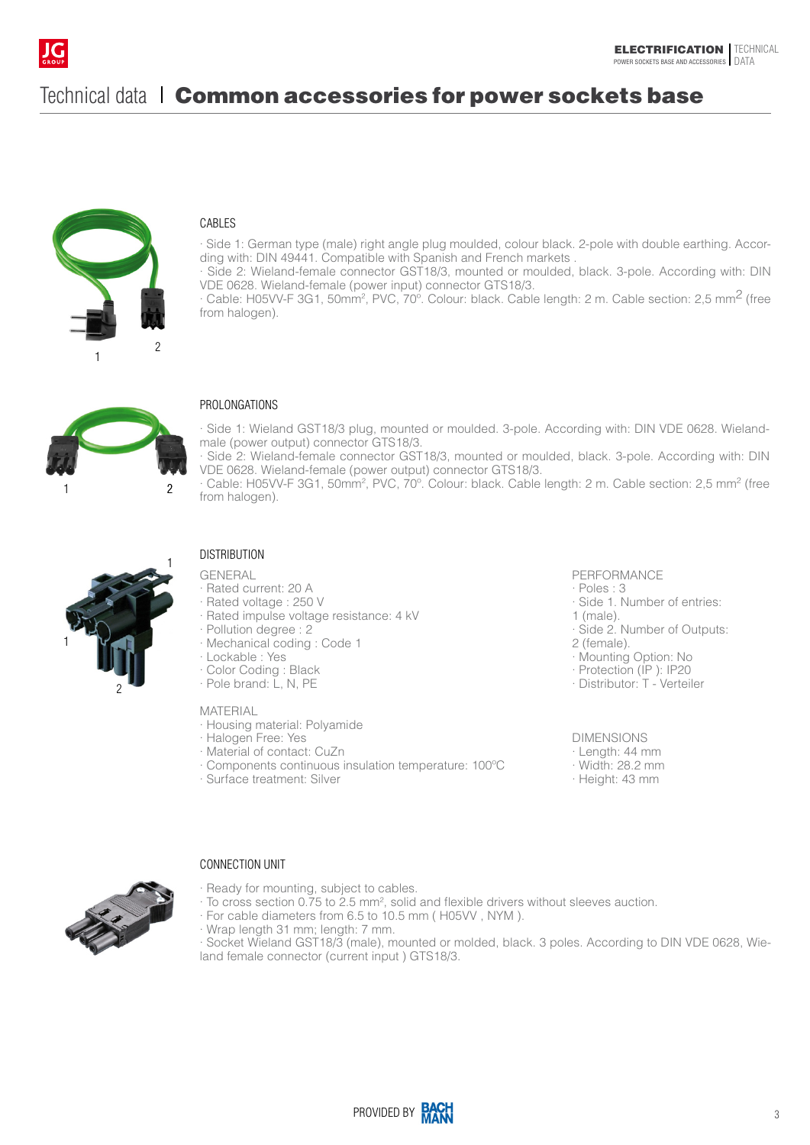

# Technical data I Common accessories for power sockets base



## CABLES

· Side 1: German type (male) right angle plug moulded, colour black. 2-pole with double earthing. According with: DIN 49441. Compatible with Spanish and French markets .

· Side 2: Wieland-female connector GST18/3, mounted or moulded, black. 3-pole. According with: DIN VDE 0628. Wieland-female (power input) connector GTS18/3.

· Cable: H05VV-F 3G1, 50mm2 , PVC, 70º. Colour: black. Cable length: 2 m. Cable section: 2,5 mm2 (free from halogen).



## PROLONGATIONS

· Side 1: Wieland GST18/3 plug, mounted or moulded. 3-pole. According with: DIN VDE 0628. Wielandmale (power output) connector GTS18/3.

· Side 2: Wieland-female connector GST18/3, mounted or moulded, black. 3-pole. According with: DIN VDE 0628. Wieland-female (power output) connector GTS18/3.

· Cable: H05VV-F 3G1, 50mm<sup>2</sup>, PVC, 70°. Colour: black. Cable length: 2 m. Cable section: 2,5 mm<sup>2</sup> (free from halogen).



## **DISTRIBUTION**

GENERAL

- · Rated current: 20 A
- · Rated voltage : 250 V
- · Rated impulse voltage resistance: 4 kV
- · Pollution degree : 2
- · Mechanical coding : Code 1
- · Lockable : Yes
- · Color Coding : Black
- · Pole brand: L, N, PE

#### MATERIAL

- · Housing material: Polyamide
- · Halogen Free: Yes
- · Material of contact: CuZn
- · Components continuous insulation temperature: 100ºC
- · Surface treatment: Silver

#### PERFORMANCE

· Poles : 3

- · Side 1. Number of entries:
- 1 (male).
- · Side 2. Number of Outputs:
- 2 (female).
- · Mounting Option: No
- · Protection (IP ): IP20
- · Distributor: T Verteiler

#### DIMENSIONS

- · Length: 44 mm
- · Width: 28.2 mm
- · Height: 43 mm

### CONNECTION UNIT

- · Ready for mounting, subject to cables.
- $\cdot$  To cross section 0.75 to 2.5 mm<sup>2</sup>, solid and flexible drivers without sleeves auction.
	- · For cable diameters from 6.5 to 10.5 mm ( H05VV , NYM ).
	- · Wrap length 31 mm; length: 7 mm.
- · Socket Wieland GST18/3 (male), mounted or molded, black. 3 poles. According to DIN VDE 0628, Wieland female connector (current input ) GTS18/3.